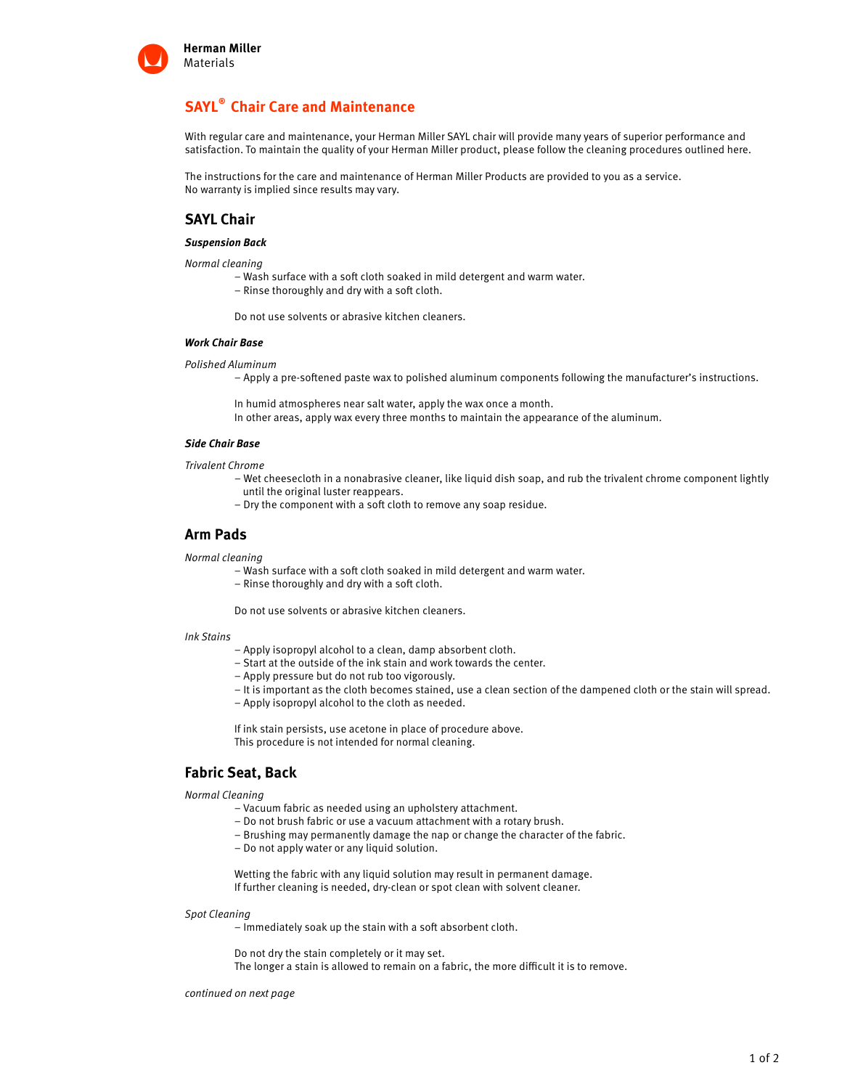

# **SAYL® Chair Care and Maintenance**

With regular care and maintenance, your Herman Miller SAYL chair will provide many years of superior performance and satisfaction. To maintain the quality of your Herman Miller product, please follow the cleaning procedures outlined here.

The instructions for the care and maintenance of Herman Miller Products are provided to you as a service. No warranty is implied since results may vary.

# **SAYL Chair**

#### **Suspension Back**

Normal cleaning

- Wash surface with a soft cloth soaked in mild detergent and warm water.
- Rinse thoroughly and dry with a soft cloth.

Do not use solvents or abrasive kitchen cleaners.

### **Work Chair Base**

Polished Aluminum

– Apply a pre-softened paste wax to polished aluminum components following the manufacturer's instructions.

In humid atmospheres near salt water, apply the wax once a month. In other areas, apply wax every three months to maintain the appearance of the aluminum.

#### **Side Chair Base**

Trivalent Chrome

- Wet cheesecloth in a nonabrasive cleaner, like liquid dish soap, and rub the trivalent chrome component lightly until the original luster reappears.
- Dry the component with a soft cloth to remove any soap residue.

### **Arm Pads**

Normal cleaning

- Wash surface with a soft cloth soaked in mild detergent and warm water.
- Rinse thoroughly and dry with a soft cloth.

Do not use solvents or abrasive kitchen cleaners.

### Ink Stains

- Apply isopropyl alcohol to a clean, damp absorbent cloth.
- Start at the outside of the ink stain and work towards the center.
- Apply pressure but do not rub too vigorously.
- It is important as the cloth becomes stained, use a clean section of the dampened cloth or the stain will spread.
- Apply isopropyl alcohol to the cloth as needed.

If ink stain persists, use acetone in place of procedure above. This procedure is not intended for normal cleaning.

## **Fabric Seat, Back**

Normal Cleaning

- Vacuum fabric as needed using an upholstery attachment.
- Do not brush fabric or use a vacuum attachment with a rotary brush.
- Brushing may permanently damage the nap or change the character of the fabric.
- Do not apply water or any liquid solution.

Wetting the fabric with any liquid solution may result in permanent damage. If further cleaning is needed, dry-clean or spot clean with solvent cleaner.

#### Spot Cleaning

– Immediately soak up the stain with a soft absorbent cloth.

Do not dry the stain completely or it may set.

The longer a stain is allowed to remain on a fabric, the more difficult it is to remove.

continued on next page